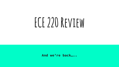# ECE 220 REVIEW

And we're back....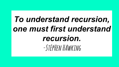## To understand recursion, one must first understand recursion. -STEPHEN HAWKING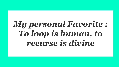# *My personal Favorite : To loop is human, to recurse is divine*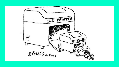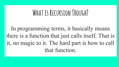#### WHAT IS RECURSION THOUGH?

In programming terms, it basically means there is a function that just calls itself. That is it, no magic to it. The hard part is how to call that function.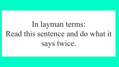# In layman terms: Read this sentence and do what it says twice.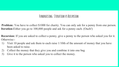#### **Fundraising : Iteration vs Recursion**

**Problem:** You have to collect \$1000 for charity. You can only ask for a penny from one person. **Iteration:**Either you go to 100,000 people and ask for a penny each. (Ouch!)

**Recursion:** If you are asked to collect a penny, give a penny to the person who asked you for it. Otherwise:-

- 1) Visit 10 people and ask them to each raise 1/10th of the amount of money that you have been asked to raise.
- 2) Collect the money that they give you and combine it into one bag
- 3) Give it to the person who asked you to collect the money.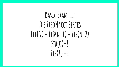# **Basic Example: The FiboNacci Series**  $FIB(N) = FIB(N-1) + FIB(N-2)$ **Fib(0)=1**  $FIB(1) = 1$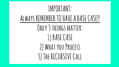# **IMPORTANT: Always REMEMBER TO HAVE A BASE CASE!! Only 3 things matter: 1) BASE CASE 2) What you Process 3) The RECURSIVE Call**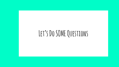#### LET'S DO SOME QUESTIONS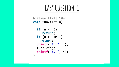### **EASY Question-1**

```
#define LIMIT 1000
void fun2(int n)
\{if (n \leq 0)return;
  if (n > LIMIT)return;
  printf("%d", n);fun2(2*n);printf("%d", n);
```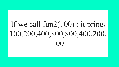## If we call fun2(100) ; it prints 100,200,400,800,800,400,200, 100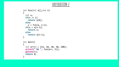#### **EASY QUESTION-2**

```
int fun(int a[], int n)
\{int x;
  if(n == 1)return a[0];
  else
   x = \text{fun}(a, n-1);if(x > a[n-1])return x;
  else
    return a[n-1];
}
int main()\{int arr[] = \{12, 10, 30, 50, 100\};printf(" %d", fun(arr, 5));getchar();
  return 0;
}
```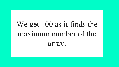# We get 100 as it finds the maximum number of the

array.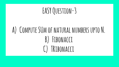#### EASY QUESTION-3

# A) COMPUTE SUM OF NATURAL NUMBERS UPTO N. B) FIBONACCI C) TRIBONACCI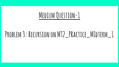#### **Medium Question-1**

#### **Problem 3 : Recursion on MT2\_PRactice\_MIdterm\_1**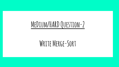#### MEDIUM/HARD QUESTION-2

#### WRITE MERGE-SORT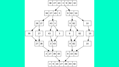